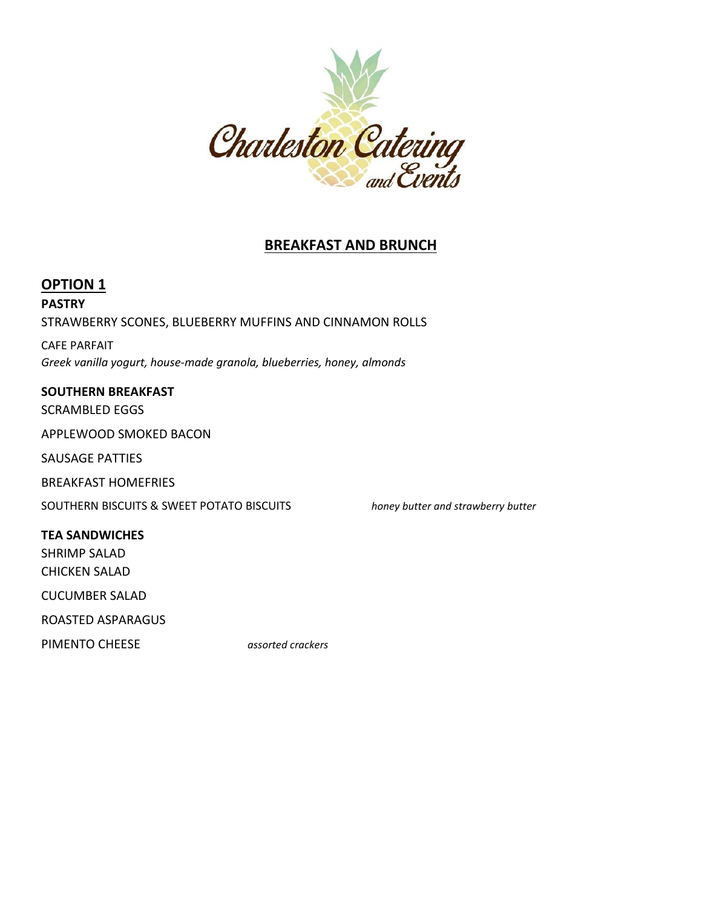

# **BREAKFAST AND BRUNCH**

# **OPTION 1**

# **PASTRY** STRAWBERRY SCONES, BLUEBERRY MUFFINS AND CINNAMON ROLLS

CAFE PARFAIT *Greek vanilla yogurt, house-made granola, blueberries, honey, almonds*

## **SOUTHERN BREAKFAST**

SCRAMBLED EGGS

APPLEWOOD SMOKED BACON

SAUSAGE PATTIES

BREAKFAST HOMEFRIES

SOUTHERN BISCUITS & SWEET POTATO BISCUITS *honey butter and strawberry butter*

**TEA SANDWICHES**

SHRIMP SALAD CHICKEN SALAD

CUCUMBER SALAD

ROASTED ASPARAGUS

PIMENTO CHEESE *assorted crackers*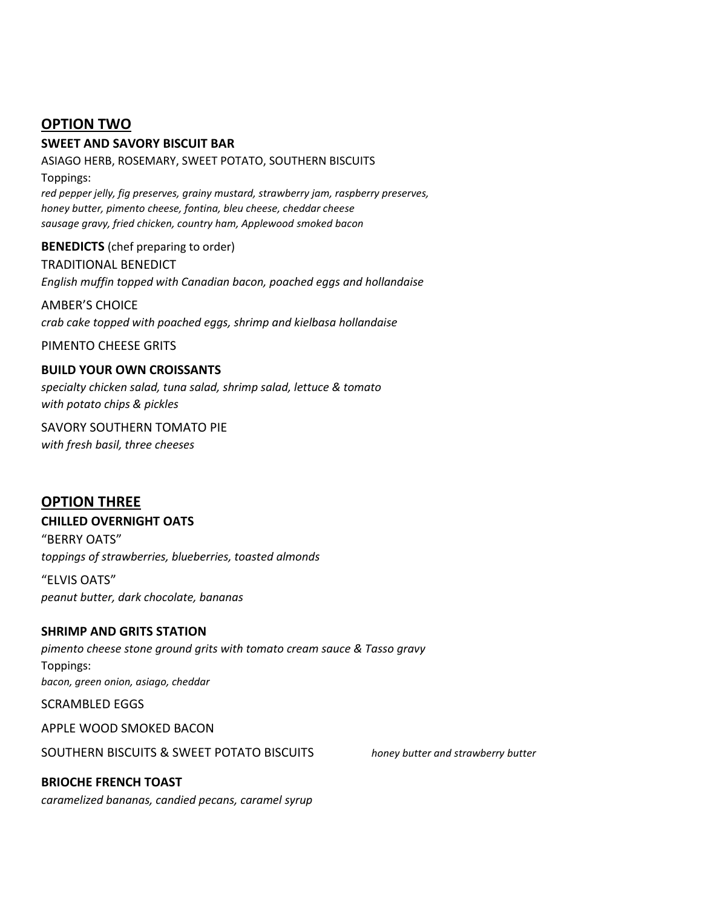# **OPTION TWO**

### **SWEET AND SAVORY BISCUIT BAR**

ASIAGO HERB, ROSEMARY, SWEET POTATO, SOUTHERN BISCUITS Toppings: *red pepper jelly, fig preserves, grainy mustard, strawberry jam, raspberry preserves, honey butter, pimento cheese, fontina, bleu cheese, cheddar cheese sausage gravy, fried chicken, country ham, Applewood smoked bacon*

**BENEDICTS** (chef preparing to order) TRADITIONAL BENEDICT *English muffin topped with Canadian bacon, poached eggs and hollandaise*

AMBER'S CHOICE *crab cake topped with poached eggs, shrimp and kielbasa hollandaise*

PIMENTO CHEESE GRITS

#### **BUILD YOUR OWN CROISSANTS**

*specialty chicken salad, tuna salad, shrimp salad, lettuce & tomato with potato chips & pickles*

SAVORY SOUTHERN TOMATO PIE *with fresh basil, three cheeses*

## **OPTION THREE**

#### **CHILLED OVERNIGHT OATS**

"BERRY OATS" *toppings of strawberries, blueberries, toasted almonds*

"ELVIS OATS" *peanut butter, dark chocolate, bananas*

## **SHRIMP AND GRITS STATION**

*pimento cheese stone ground grits with tomato cream sauce & Tasso gravy*  Toppings: *bacon, green onion, asiago, cheddar*

SCRAMBLED EGGS

APPLE WOOD SMOKED BACON

SOUTHERN BISCUITS & SWEET POTATO BISCUITS *honey butter and strawberry butter*

**BRIOCHE FRENCH TOAST** *caramelized bananas, candied pecans, caramel syrup*